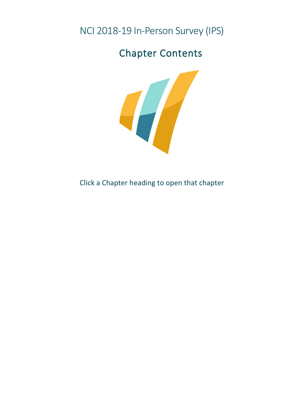NCI 2018-19 In-Person Survey (IPS)

# Chapter Contents



Click a Chapter heading to open that chapter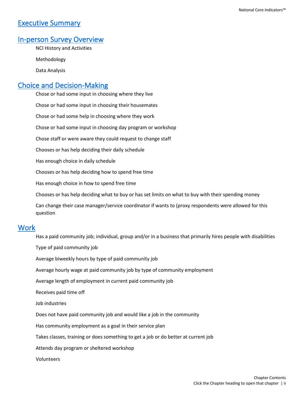## [Executive Summary](https://www.nationalcoreindicators.org/upload/core-indicators/Executive_Summary_508_IPS_18_19.pdf)

#### [In-person Survey Overview](https://www.nationalcoreindicators.org/upload/core-indicators/NCI_IPS_--Overview_508_IPS_18_19.pdf)

NCI History and Activities

Methodology

Data Analysis

### [Choice and Decision-Making](https://www.nationalcoreindicators.org/upload/core-indicators/Choice_508_IPS_18_19.pdf)

Chose or had some input in choosing where they live Chose or had some input in choosing their housemates Chose or had some help in choosing where they work Chose or had some input in choosing day program or workshop Chose staff or were aware they could request to change staff Chooses or has help deciding their daily schedule Has enough choice in daily schedule Chooses or has help deciding how to spend free time Has enough choice in how to spend free time Chooses or has help deciding what to buy or has set limits on what to buy with their spending money Can change their case manager/service coordinator if wants to (proxy respondents were allowed for this question

#### [Work](https://www.nationalcoreindicators.org/upload/core-indicators/Employment_4_16.pdf)

Has a paid community job; individual, group and/or in a business that primarily hires people with disabilities

Type of paid community job

Average biweekly hours by type of paid community job

Average hourly wage at paid community job by type of community employment

Average length of employment in current paid community job

Receives paid time off

Job industries

Does not have paid community job and would like a job in the community

Has community employment as a goal in their service plan

Takes classes, training or does something to get a job or do better at current job

Attends day program or sheltered workshop

Volunteers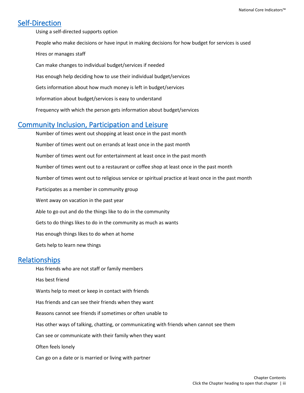## [Self-Direction](https://www.nationalcoreindicators.org/upload/core-indicators/Self-direction_508_IPS_18_19.pdf)

Using a self-directed supports option

- People who make decisions or have input in making decisions for how budget for services is used Hires or manages staff Can make changes to individual budget/services if needed
- Has enough help deciding how to use their individual budget/services
- Gets information about how much money is left in budget/services
- Information about budget/services is easy to understand
- Frequency with which the person gets information about budget/services

## [Community Inclusion, Participation and Leisure](https://www.nationalcoreindicators.org/upload/core-indicators/Community_Inclusion_508_IPS_18_19.pdf)

Number of times went out shopping at least once in the past month Number of times went out on errands at least once in the past month Number of times went out for entertainment at least once in the past month Number of times went out to a restaurant or coffee shop at least once in the past month Number of times went out to religious service or spiritual practice at least once in the past month Participates as a member in community group Went away on vacation in the past year Able to go out and do the things like to do in the community Gets to do things likes to do in the community as much as wants Has enough things likes to do when at home Gets help to learn new things

#### [Relationships](https://www.nationalcoreindicators.org/upload/core-indicators/Relationships_508_IPS_18_19.pdf)

Has friends who are not staff or family members Has best friend Wants help to meet or keep in contact with friends Has friends and can see their friends when they want Reasons cannot see friends if sometimes or often unable to Has other ways of talking, chatting, or communicating with friends when cannot see them Can see or communicate with their family when they want Often feels lonely Can go on a date or is married or living with partner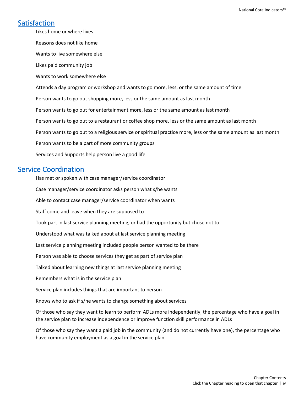## [Satisfaction](https://www.nationalcoreindicators.org/upload/core-indicators/Satisfaction_508_IPS_18_19.pdf)

Likes home or where lives Reasons does not like home Wants to live somewhere else Likes paid community job Wants to work somewhere else Attends a day program or workshop and wants to go more, less, or the same amount of time Person wants to go out shopping more, less or the same amount as last month Person wants to go out for entertainment more, less or the same amount as last month Person wants to go out to a restaurant or coffee shop more, less or the same amount as last month Person wants to go out to a religious service or spiritual practice more, less or the same amount as last month Person wants to be a part of more community groups Services and Supports help person live a good life

#### [Service Coordination](https://www.nationalcoreindicators.org/upload/core-indicators/Service_Coordination_508_IPS_18_19.pdf)

Has met or spoken with case manager/service coordinator Case manager/service coordinator asks person what s/he wants Able to contact case manager/service coordinator when wants Staff come and leave when they are supposed to Took part in last service planning meeting, or had the opportunity but chose not to Understood what was talked about at last service planning meeting Last service planning meeting included people person wanted to be there Person was able to choose services they get as part of service plan Talked about learning new things at last service planning meeting Remembers what is in the service plan Service plan includes things that are important to person Knows who to ask if s/he wants to change something about services Of those who say they want to learn to perform ADLs more independently, the percentage who have a goal in the service plan to increase independence or improve function skill performance in ADLs

Of those who say they want a paid job in the community (and do not currently have one), the percentage who have community employment as a goal in the service plan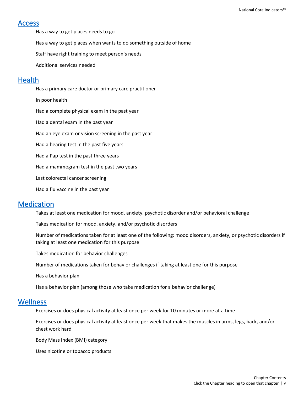#### [Access](https://www.nationalcoreindicators.org/upload/core-indicators/Access_508_IPS_18_19.pdf)

Has a way to get places needs to go

Has a way to get places when wants to do something outside of home

Staff have right training to meet person's needs

Additional services needed

#### **Health**

Has a primary care doctor or primary care practitioner In poor health Had a complete physical exam in the past year Had a dental exam in the past year Had an eye exam or vision screening in the past year Had a hearing test in the past five years Had a Pap test in the past three years Had a mammogram test in the past two years Last colorectal cancer screening Had a flu vaccine in the past year

#### [Medication](https://www.nationalcoreindicators.org/upload/core-indicators/Medication_508_IPS_18_19.pdf)

Takes at least one medication for mood, anxiety, psychotic disorder and/or behavioral challenge

Takes medication for mood, anxiety, and/or psychotic disorders

Number of medications taken for at least one of the following: mood disorders, anxiety, or psychotic disorders if taking at least one medication for this purpose

Takes medication for behavior challenges

Number of medications taken for behavior challenges if taking at least one for this purpose

Has a behavior plan

Has a behavior plan (among those who take medication for a behavior challenge)

#### **Wellness**

Exercises or does physical activity at least once per week for 10 minutes or more at a time

Exercises or does physical activity at least once per week that makes the muscles in arms, legs, back, and/or chest work hard

Body Mass Index (BMI) category

Uses nicotine or tobacco products